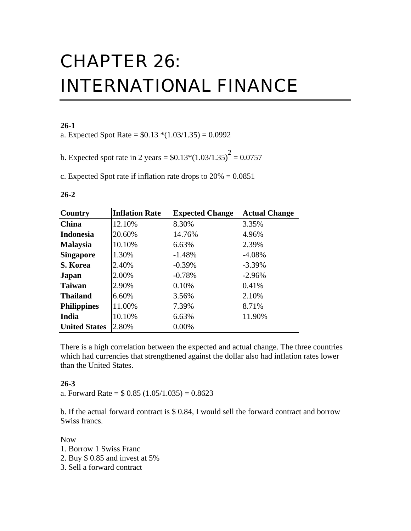# CHAPTER 26: INTERNATIONAL FINANCE

### **26-1**

a. Expected Spot Rate =  $$0.13*(1.03/1.35) = 0.0992$ 

b. Expected spot rate in 2 years =  $$0.13*(1.03/1.35)^{2} = 0.0757$ 

c. Expected Spot rate if inflation rate drops to  $20\% = 0.0851$ 

#### **26-2**

| Country              | <b>Inflation Rate</b> | <b>Expected Change</b> | <b>Actual Change</b> |
|----------------------|-----------------------|------------------------|----------------------|
| <b>China</b>         | 12.10%                | 8.30%                  | 3.35%                |
| <b>Indonesia</b>     | 20.60%                | 14.76%                 | 4.96%                |
| <b>Malaysia</b>      | 10.10%                | 6.63%                  | 2.39%                |
| <b>Singapore</b>     | 1.30%                 | $-1.48%$               | $-4.08%$             |
| S. Korea             | 2.40%                 | $-0.39%$               | $-3.39\%$            |
| Japan                | 2.00%                 | $-0.78%$               | $-2.96%$             |
| <b>Taiwan</b>        | 2.90%                 | 0.10%                  | 0.41%                |
| <b>Thailand</b>      | 6.60%                 | 3.56%                  | 2.10%                |
| <b>Philippines</b>   | 11.00%                | 7.39%                  | 8.71%                |
| India                | 10.10%                | 6.63%                  | 11.90%               |
| <b>United States</b> | 2.80%                 | 0.00%                  |                      |

There is a high correlation between the expected and actual change. The three countries which had currencies that strengthened against the dollar also had inflation rates lower than the United States.

#### **26-3**

a. Forward Rate =  $$0.85 (1.05/1.035) = 0.8623$ 

b. If the actual forward contract is \$ 0.84, I would sell the forward contract and borrow Swiss francs.

#### Now

- 1. Borrow 1 Swiss Franc
- 2. Buy \$ 0.85 and invest at 5%
- 3. Sell a forward contract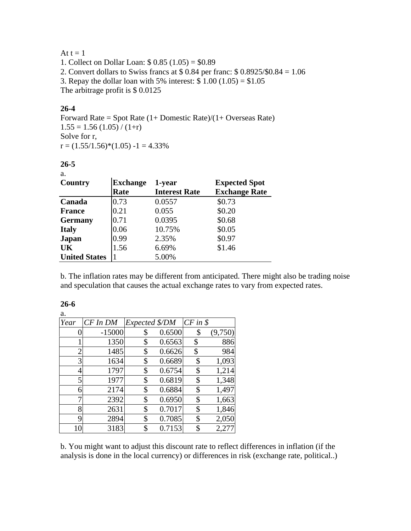# At  $t = 1$

1. Collect on Dollar Loan: \$ 0.85 (1.05) = \$0.89 2. Convert dollars to Swiss francs at \$ 0.84 per franc: \$ 0.8925/\$0.84 = 1.06 3. Repay the dollar loan with 5% interest:  $\frac{100}{1.05} = $1.05$ The arbitrage profit is \$ 0.0125

## **26-4**

Forward Rate = Spot Rate  $(1+$  Domestic Rate) $/(1+$  Overseas Rate)  $1.55 = 1.56 (1.05) / (1+r)$ Solve for r,  $r = (1.55/1.56)*(1.05) - 1 = 4.33%$ 

#### **26-5**

| ٠<br>۰.<br>- - - |  |
|------------------|--|
|                  |  |
|                  |  |

| Country              | <b>Exchange</b> | 1-year               | <b>Expected Spot</b> |
|----------------------|-----------------|----------------------|----------------------|
|                      | Rate            | <b>Interest Rate</b> | <b>Exchange Rate</b> |
| Canada               | 0.73            | 0.0557               | \$0.73               |
| <b>France</b>        | 0.21            | 0.055                | \$0.20               |
| <b>Germany</b>       | 0.71            | 0.0395               | \$0.68               |
| <b>Italy</b>         | 0.06            | 10.75%               | \$0.05               |
| <b>Japan</b>         | 0.99            | 2.35%                | \$0.97               |
| UK                   | 1.56            | 6.69%                | \$1.46               |
| <b>United States</b> |                 | 5.00%                |                      |

b. The inflation rates may be different from anticipated. There might also be trading noise and speculation that causes the actual exchange rates to vary from expected rates.

| ı |  |
|---|--|
|   |  |

| a.             |              |                |        |             |         |
|----------------|--------------|----------------|--------|-------------|---------|
| Year           | $CF$ In $DM$ | Expected \$/DM |        | $CF$ in $$$ |         |
|                | $-15000$     | \$             | 0.6500 | \$          | (9,750) |
|                | 1350         | \$             | 0.6563 | \$          | 886     |
| $\overline{2}$ | 1485         | \$             | 0.6626 | \$          | 984     |
| 3              | 1634         | \$             | 0.6689 | \$          | 1,093   |
| 4              | 1797         | \$             | 0.6754 | \$          | 1,214   |
| 5              | 1977         | \$             | 0.6819 | \$          | 1,348   |
| 6              | 2174         | \$             | 0.6884 | \$          | 1,497   |
| 7              | 2392         | \$             | 0.6950 | \$          | 1,663   |
| 8              | 2631         | \$             | 0.7017 | \$          | 1,846   |
| 9              | 2894         | \$             | 0.7085 | \$          | 2,050   |
| 10             | 3183         | \$             | 0.7153 | \$          | 2,27    |

b. You might want to adjust this discount rate to reflect differences in inflation (if the analysis is done in the local currency) or differences in risk (exchange rate, political..)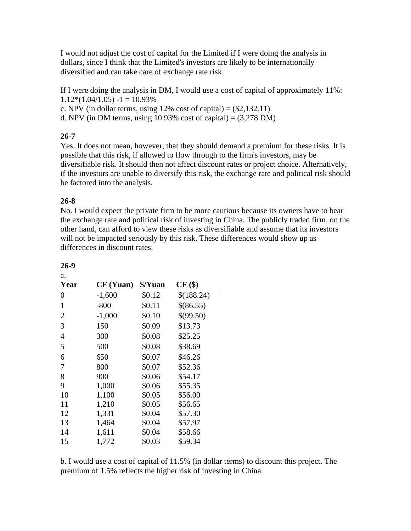I would not adjust the cost of capital for the Limited if I were doing the analysis in dollars, since I think that the Limited's investors are likely to be internationally diversified and can take care of exchange rate risk.

If I were doing the analysis in DM, I would use a cost of capital of approximately 11%:  $1.12*(1.04/1.05) - 1 = 10.93\%$ c. NPV (in dollar terms, using  $12\%$  cost of capital) =  $(\$2,132.11)$ 

d. NPV (in DM terms, using  $10.93\%$  cost of capital) =  $(3,278$  DM)

# **26-7**

Yes. It does not mean, however, that they should demand a premium for these risks. It is possible that this risk, if allowed to flow through to the firm's investors, may be diversifiable risk. It should then not affect discount rates or project choice. Alternatively, if the investors are unable to diversify this risk, the exchange rate and political risk should be factored into the analysis.

## **26-8**

No. I would expect the private firm to be more cautious because its owners have to bear the exchange rate and political risk of investing in China. The publicly traded firm, on the other hand, can afford to view these risks as diversifiable and assume that its investors will not be impacted seriously by this risk. These differences would show up as differences in discount rates.

| Year           | CF (Yuan) | \$/Yuan | $CF($ \$)  |
|----------------|-----------|---------|------------|
|                |           |         |            |
| $\overline{0}$ | $-1,600$  | \$0.12  | \$(188.24) |
| 1              | $-800$    | \$0.11  | \$(86.55)  |
| $\overline{2}$ | $-1,000$  | \$0.10  | \$(99.50)  |
| 3              | 150       | \$0.09  | \$13.73    |
| 4              | 300       | \$0.08  | \$25.25    |
| 5              | 500       | \$0.08  | \$38.69    |
| 6              | 650       | \$0.07  | \$46.26    |
| 7              | 800       | \$0.07  | \$52.36    |
| 8              | 900       | \$0.06  | \$54.17    |
| 9              | 1,000     | \$0.06  | \$55.35    |
| 10             | 1,100     | \$0.05  | \$56.00    |
| 11             | 1,210     | \$0.05  | \$56.65    |
| 12             | 1,331     | \$0.04  | \$57.30    |
| 13             | 1,464     | \$0.04  | \$57.97    |
| 14             | 1,611     | \$0.04  | \$58.66    |
| 15             | 1,772     | \$0.03  | \$59.34    |

#### **26-9**

a.

b. I would use a cost of capital of 11.5% (in dollar terms) to discount this project. The premium of 1.5% reflects the higher risk of investing in China.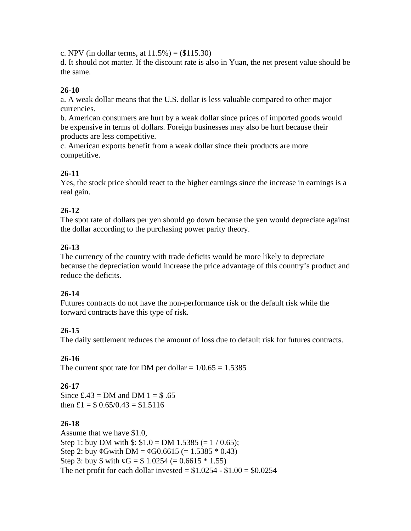c. NPV (in dollar terms, at  $11.5\%$ ) = (\$115.30)

d. It should not matter. If the discount rate is also in Yuan, the net present value should be the same.

# **26-10**

a. A weak dollar means that the U.S. dollar is less valuable compared to other major currencies.

b. American consumers are hurt by a weak dollar since prices of imported goods would be expensive in terms of dollars. Foreign businesses may also be hurt because their products are less competitive.

c. American exports benefit from a weak dollar since their products are more competitive.

# **26-11**

Yes, the stock price should react to the higher earnings since the increase in earnings is a real gain.

# **26-12**

The spot rate of dollars per yen should go down because the yen would depreciate against the dollar according to the purchasing power parity theory.

## **26-13**

The currency of the country with trade deficits would be more likely to depreciate because the depreciation would increase the price advantage of this country's product and reduce the deficits.

# **26-14**

Futures contracts do not have the non-performance risk or the default risk while the forward contracts have this type of risk.

# **26-15**

The daily settlement reduces the amount of loss due to default risk for futures contracts.

### **26-16**

The current spot rate for DM per dollar =  $1/0.65 = 1.5385$ 

### **26-17**

Since  $\pounds 43 = DM$  and DM  $1 = $.65$ then  $\pounds1 = \pounds 0.65/0.43 = \pounds 1.5116$ 

### **26-18**

Assume that we have \$1.0, Step 1: buy DM with  $\$$ :  $\$1.0 = DM$  1.5385 (= 1 / 0.65); Step 2: buy  $\varphi$ Gwith DM =  $\varphi$ G0.6615 (= 1.5385  $*$  0.43) Step 3: buy  $\text{\$ with } \mathcal{C} = \text{\$ } 1.0254 (= 0.6615 * 1.55)$ The net profit for each dollar invested =  $$1.0254 - $1.00 = $0.0254$